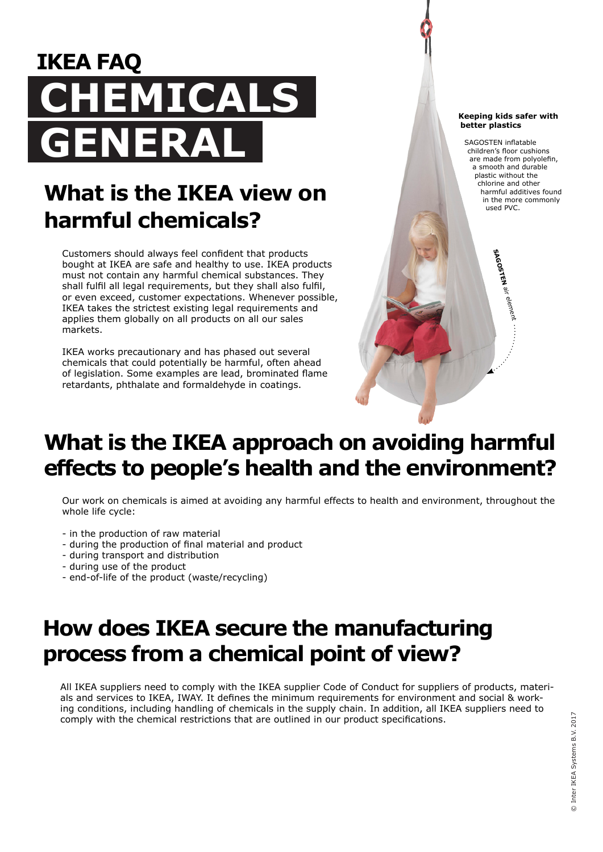# **IKEA FAQ CAL GENERAL**

# **What is the IKEA view on harmful chemicals?**

Customers should always feel confident that products bought at IKEA are safe and healthy to use. IKEA products must not contain any harmful chemical substances. They shall fulfil all legal requirements, but they shall also fulfil, or even exceed, customer expectations. Whenever possible, IKEA takes the strictest existing legal requirements and applies them globally on all products on all our sales markets.

IKEA works precautionary and has phased out several chemicals that could potentially be harmful, often ahead of legislation. Some examples are lead, brominated flame retardants, phthalate and formaldehyde in coatings.

#### **Keeping kids safer with better plastics**

SAGOSTEN inflatable children's floor cushions are made from polyolefin, a smooth and durable plastic without the chlorine and other harmful additives found in the more commonly used PVC.

**SAGOSTEN**

air element

# **What is the IKEA approach on avoiding harmful effects to people's health and the environment?**

Our work on chemicals is aimed at avoiding any harmful effects to health and environment, throughout the whole life cycle:

- in the production of raw material
- during the production of final material and product
- during transport and distribution
- during use of the product
- end-of-life of the product (waste/recycling)

#### **How does IKEA secure the manufacturing process from a chemical point of view?**

All IKEA suppliers need to comply with the IKEA supplier Code of Conduct for suppliers of products, materials and services to IKEA, IWAY. It defines the minimum requirements for environment and social & working conditions, including handling of chemicals in the supply chain. In addition, all IKEA suppliers need to comply with the chemical restrictions that are outlined in our product specifications.